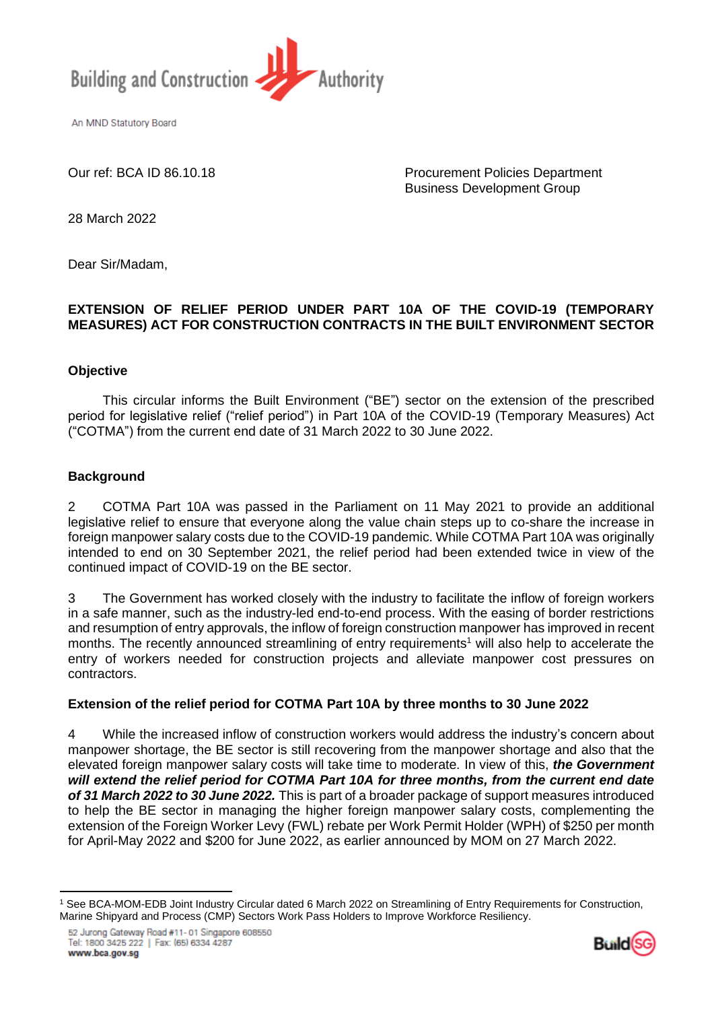

An MND Statutory Board

Our ref: BCA ID 86.10.18 Procurement Policies Department Business Development Group

28 March 2022

Dear Sir/Madam,

# **EXTENSION OF RELIEF PERIOD UNDER PART 10A OF THE COVID-19 (TEMPORARY MEASURES) ACT FOR CONSTRUCTION CONTRACTS IN THE BUILT ENVIRONMENT SECTOR**

#### **Objective**

This circular informs the Built Environment ("BE") sector on the extension of the prescribed period for legislative relief ("relief period") in Part 10A of the COVID-19 (Temporary Measures) Act ("COTMA") from the current end date of 31 March 2022 to 30 June 2022.

## **Background**

2 COTMA Part 10A was passed in the Parliament on 11 May 2021 to provide an additional legislative relief to ensure that everyone along the value chain steps up to co-share the increase in foreign manpower salary costs due to the COVID-19 pandemic. While COTMA Part 10A was originally intended to end on 30 September 2021, the relief period had been extended twice in view of the continued impact of COVID-19 on the BE sector.

3 The Government has worked closely with the industry to facilitate the inflow of foreign workers in a safe manner, such as the industry-led end-to-end process. With the easing of border restrictions and resumption of entry approvals, the inflow of foreign construction manpower has improved in recent months. The recently announced streamlining of entry requirements<sup>1</sup> will also help to accelerate the entry of workers needed for construction projects and alleviate manpower cost pressures on contractors.

## **Extension of the relief period for COTMA Part 10A by three months to 30 June 2022**

4 While the increased inflow of construction workers would address the industry's concern about manpower shortage, the BE sector is still recovering from the manpower shortage and also that the elevated foreign manpower salary costs will take time to moderate. In view of this, *the Government will extend the relief period for COTMA Part 10A for three months, from the current end date of 31 March 2022 to 30 June 2022.* This is part of a broader package of support measures introduced to help the BE sector in managing the higher foreign manpower salary costs, complementing the extension of the Foreign Worker Levy (FWL) rebate per Work Permit Holder (WPH) of \$250 per month for April-May 2022 and \$200 for June 2022, as earlier announced by MOM on 27 March 2022.



<sup>1</sup> See BCA-MOM-EDB Joint Industry Circular dated 6 March 2022 on Streamlining of Entry Requirements for Construction, Marine Shipyard and Process (CMP) Sectors Work Pass Holders to Improve Workforce Resiliency.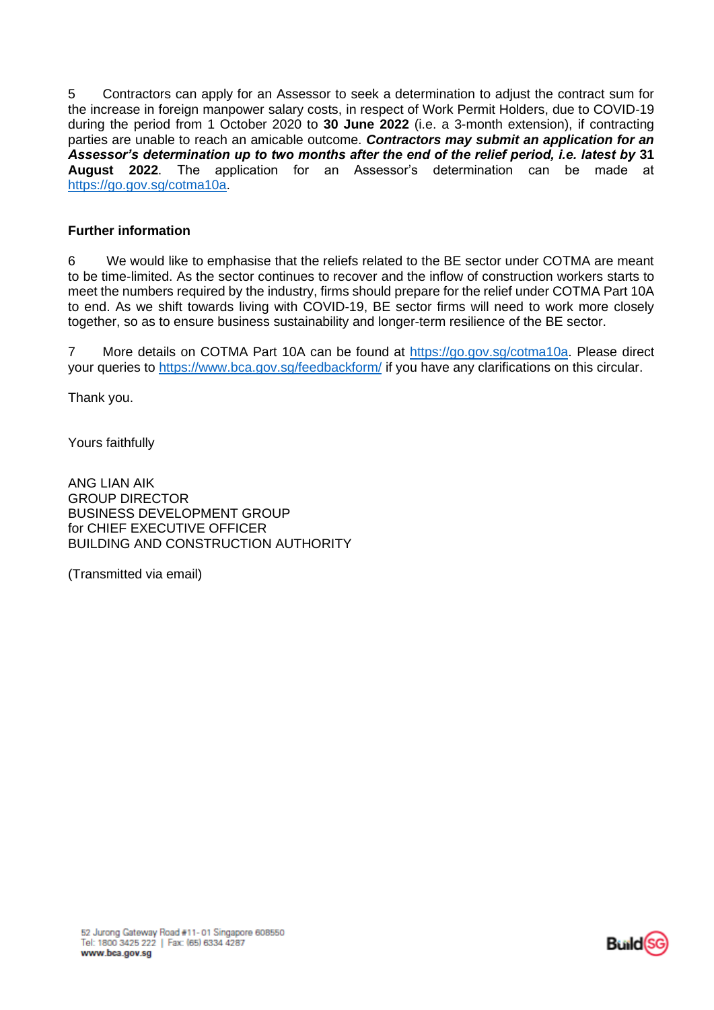5 Contractors can apply for an Assessor to seek a determination to adjust the contract sum for the increase in foreign manpower salary costs, in respect of Work Permit Holders, due to COVID-19 during the period from 1 October 2020 to **30 June 2022** (i.e. a 3-month extension), if contracting parties are unable to reach an amicable outcome. *Contractors may submit an application for an Assessor's determination up to two months after the end of the relief period, i.e. latest by* **31 August 2022**. The application for an Assessor's determination can be made at [https://go.gov.sg/cotma10a.](https://go.gov.sg/cotma10a)

# **Further information**

6 We would like to emphasise that the reliefs related to the BE sector under COTMA are meant to be time-limited. As the sector continues to recover and the inflow of construction workers starts to meet the numbers required by the industry, firms should prepare for the relief under COTMA Part 10A to end. As we shift towards living with COVID-19, BE sector firms will need to work more closely together, so as to ensure business sustainability and longer-term resilience of the BE sector.

7 More details on COTMA Part 10A can be found at [https://go.gov.sg/cotma10a.](https://go.gov.sg/cotma10a) Please direct your queries to <https://www.bca.gov.sg/feedbackform/> if you have any clarifications on this circular.

Thank you.

Yours faithfully

ANG LIAN AIK GROUP DIRECTOR BUSINESS DEVELOPMENT GROUP for CHIEF EXECUTIVE OFFICER BUILDING AND CONSTRUCTION AUTHORITY

(Transmitted via email)

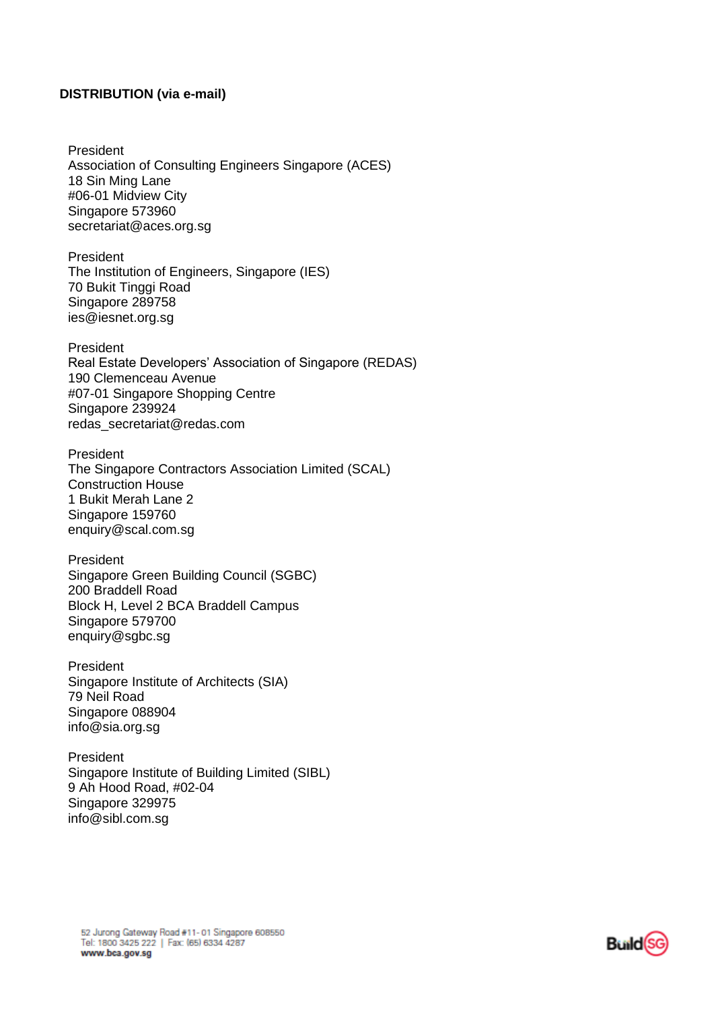#### **DISTRIBUTION (via e-mail)**

President Association of Consulting Engineers Singapore (ACES) 18 Sin Ming Lane #06-01 Midview City Singapore 573960 secretariat@aces.org.sg

President The Institution of Engineers, Singapore (IES) 70 Bukit Tinggi Road Singapore 289758 ies@iesnet.org.sg

President Real Estate Developers' Association of Singapore (REDAS) 190 Clemenceau Avenue #07-01 Singapore Shopping Centre Singapore 239924 redas\_secretariat@redas.com;

President The Singapore Contractors Association Limited (SCAL) Construction House 1 Bukit Merah Lane 2 Singapore 159760 enquiry@scal.com.sg

President Singapore Green Building Council (SGBC) 200 Braddell Road Block H, Level 2 BCA Braddell Campus Singapore 579700 enquiry@sgbc.sg

President Singapore Institute of Architects (SIA) 79 Neil Road Singapore 088904 info@sia.org.sg

President Singapore Institute of Building Limited (SIBL) 9 Ah Hood Road, #02-04 Singapore 329975 info@sibl.com.sg